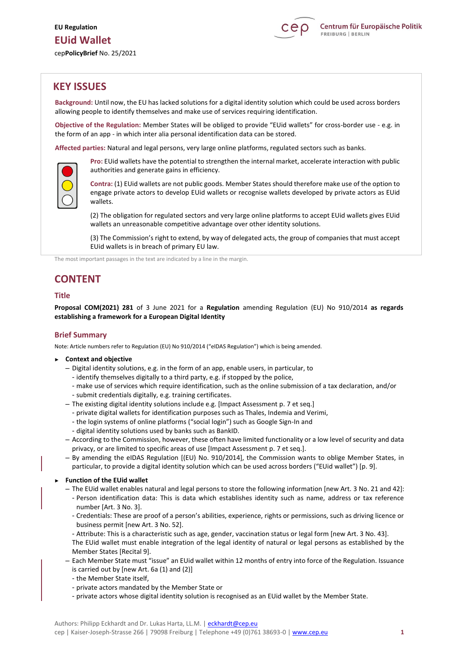

# **KEY ISSUES**

**Background:** Until now, the EU has lacked solutions for a digital identity solution which could be used across borders allowing people to identify themselves and make use of services requiring identification.

**Objective of the Regulation:** Member States will be obliged to provide "EUid wallets" for cross-border use - e.g. in the form of an app - in which inter alia personal identification data can be stored.

**Affected parties:** Natural and legal persons, very large online platforms, regulated sectors such as banks.



**Pro:** EUid wallets have the potential to strengthen the internal market, accelerate interaction with public authorities and generate gains in efficiency.

**Contra:** (1) EUid wallets are not public goods. Member States should therefore make use of the option to engage private actors to develop EUid wallets or recognise wallets developed by private actors as EUid wallets.

(2) The obligation for regulated sectors and very large online platforms to accept EUid wallets gives EUid wallets an unreasonable competitive advantage over other identity solutions.

(3) The Commission's right to extend, by way of delegated acts, the group of companies that must accept EUid wallets is in breach of primary EU law.

The most important passages in the text are indicated by a line in the margin.

# **CONTENT**

# **Title**

**Proposal COM(2021) 281** of 3 June 2021 for a **Regulation** amending Regulation (EU) No 910/2014 **as regards establishing a framework for a European Digital Identity**

# **Brief Summary**

Note: Article numbers refer to Regulation (EU) No 910/2014 ("eIDAS Regulation") which is being amended.

- ► **Context and objective**
	- Digital identity solutions, e.g. in the form of an app, enable users, in particular, to
		- identify themselves digitally to a third party, e.g. if stopped by the police,
		- make use of services which require identification, such as the online submission of a tax declaration, and/or - submit credentials digitally, e.g. training certificates.
	- The existing digital identity solutions include e.g. [Impact Assessment p. 7 et seq.]
		- private digital wallets for identification purposes such as Thales, Indemia and Verimi,
		- the login systems of online platforms ("social login") such as Google Sign-In and
		- digital identity solutions used by banks such as BankID.
	- According to the Commission, however, these often have limited functionality or a low level of security and data privacy, or are limited to specific areas of use [Impact Assessment p. 7 et seq.].
	- By amending the eIDAS Regulation [(EU) No. 910/2014], the Commission wants to oblige Member States, in particular, to provide a digital identity solution which can be used across borders ("EUid wallet") [p. 9].

#### ► **Function of the EUid wallet**

- The EUid wallet enables natural and legal persons to store the following information [new Art. 3 No. 21 and 42]:
	- Person identification data: This is data which establishes identity such as name, address or tax reference number [Art. 3 No. 3].
	- Credentials: These are proof of a person's abilities, experience, rights or permissions, such as driving licence or business permit [new Art. 3 No. 52].
	- Attribute: This is a characteristic such as age, gender, vaccination status or legal form [new Art. 3 No. 43]. The EUid wallet must enable integration of the legal identity of natural or legal persons as established by the Member States [Recital 9].
- Each Member State must "issue" an EUid wallet within 12 months of entry into force of the Regulation. Issuance is carried out by [new Art. 6a (1) and (2)]
	- the Member State itself,
	- private actors mandated by the Member State or
	- private actors whose digital identity solution is recognised as an EUid wallet by the Member State.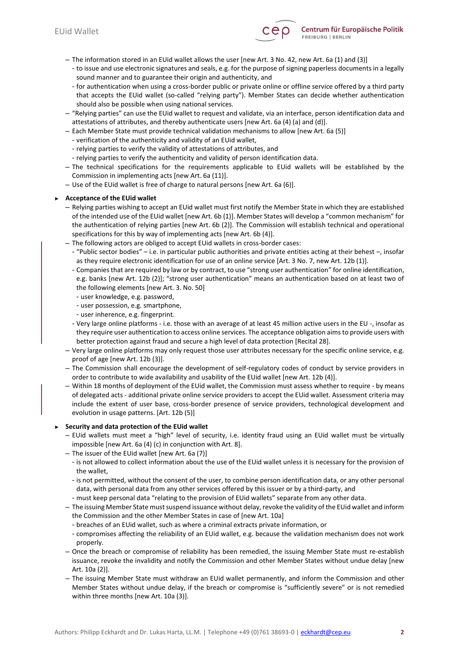

- The information stored in an EUid wallet allows the user [new Art. 3 No. 42, new Art. 6a (1) and (3)]
	- to issue and use electronic signatures and seals, e.g. for the purpose of signing paperless documents in a legally sound manner and to guarantee their origin and authenticity, and
	- for authentication when using a cross-border public or private online or offline service offered by a third party that accepts the EUid wallet (so-called "relying party"). Member States can decide whether authentication should also be possible when using national services.
- "Relying parties" can use the EUid wallet to request and validate, via an interface, person identification data and attestations of attributes, and thereby authenticate users [new Art. 6a (4) (a) and (d)].
- Each Member State must provide technical validation mechanisms to allow [new Art. 6a (5)]
	- verification of the authenticity and validity of an EUid wallet,
	- relying parties to verify the validity of attestations of attributes, and
	- relying parties to verify the authenticity and validity of person identification data.
- The technical specifications for the requirements applicable to EUid wallets will be established by the Commission in implementing acts [new Art. 6a (11)].
- Use of the EUid wallet is free of charge to natural persons [new Art. 6a (6)].

### ► **Acceptance of the EUid wallet**

- Relying parties wishing to accept an EUid wallet must first notify the Member State in which they are established of the intended use of the EUid wallet [new Art. 6b (1)]. Member States will develop a "common mechanism" for the authentication of relying parties [new Art. 6b (2)]. The Commission will establish technical and operational specifications for this by way of implementing acts [new Art. 6b (4)].
- The following actors are obliged to accept EUid wallets in cross-border cases:
- "Public sector bodies" i.e. in particular public authorities and private entities acting at their behest –, insofar as they require electronic identification for use of an online service [Art. 3 No. 7, new Art. 12b (1)].
- Companies that are required by law or by contract, to use "strong user authentication" for online identification, e.g. banks [new Art. 12b (2)]; "strong user authentication" means an authentication based on at least two of the following elements [new Art. 3. No. 50]
- user knowledge, e.g. password,
- user possession, e.g. smartphone,
- user inherence, e.g. fingerprint.
- Very large online platforms i.e. those with an average of at least 45 million active users in the EU -, insofar as they require user authentication to access online services. The acceptance obligation aims to provide users with better protection against fraud and secure a high level of data protection [Recital 28].
- Very large online platforms may only request those user attributes necessary for the specific online service, e.g. proof of age [new Art. 12b (3)].
- The Commission shall encourage the development of self-regulatory codes of conduct by service providers in order to contribute to wide availability and usability of the EUid wallet [new Art. 12b (4)].
- Within 18 months of deployment of the EUid wallet, the Commission must assess whether to require by means of delegated acts - additional private online service providers to accept the EUid wallet. Assessment criteria may include the extent of user base, cross-border presence of service providers, technological development and evolution in usage patterns. [Art. 12b (5)]

#### ► **Security and data protection of the EUid wallet**

- EUid wallets must meet a "high" level of security, i.e. identity fraud using an EUid wallet must be virtually impossible [new Art. 6a (4) (c) in conjunction with Art. 8].
- The issuer of the EUid wallet [new Art. 6a (7)]
	- is not allowed to collect information about the use of the EUid wallet unless it is necessary for the provision of the wallet,
	- is not permitted, without the consent of the user, to combine person identification data, or any other personal data, with personal data from any other services offered by this issuer or by a third-party, and
	- must keep personal data "relating to the provision of EUid wallets" separate from any other data.
- The issuing Member State must suspend issuance without delay, revoke the validity of the EUid wallet and inform the Commission and the other Member States in case of [new Art. 10a]
	- breaches of an EUid wallet, such as where a criminal extracts private information, or
	- compromises affecting the reliability of an EUid wallet, e.g. because the validation mechanism does not work properly.
- Once the breach or compromise of reliability has been remedied, the issuing Member State must re-establish issuance, revoke the invalidity and notify the Commission and other Member States without undue delay [new Art. 10a (2)].
- The issuing Member State must withdraw an EUid wallet permanently, and inform the Commission and other Member States without undue delay, if the breach or compromise is "sufficiently severe" or is not remedied within three months [new Art. 10a (3)].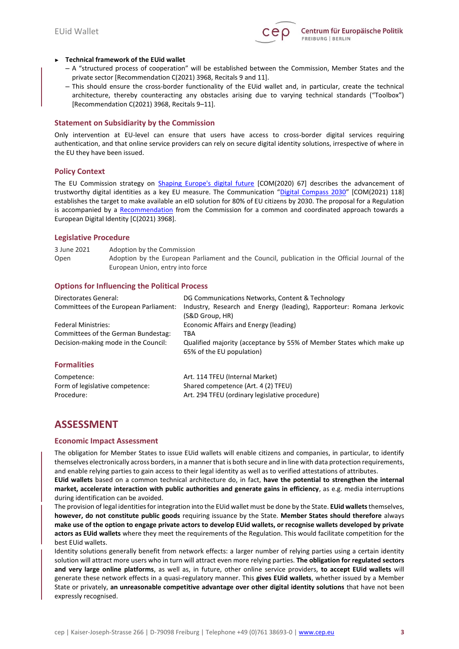

### ► **Technical framework of the EUid wallet**

- A "structured process of cooperation" will be established between the Commission, Member States and the private sector [Recommendation C(2021) 3968, Recitals 9 and 11].
- This should ensure the cross-border functionality of the EUid wallet and, in particular, create the technical architecture, thereby counteracting any obstacles arising due to varying technical standards ("Toolbox") [Recommendation C(2021) 3968, Recitals 9–11].

### **Statement on Subsidiarity by the Commission**

Only intervention at EU-level can ensure that users have access to cross-border digital services requiring authentication, and that online service providers can rely on secure digital identity solutions, irrespective of where in the EU they have been issued.

# **Policy Context**

The EU Commission strategy on [Shaping Europe's digital future](https://ec.europa.eu/info/sites/default/files/communication-shaping-europes-digital-future-feb2020_en_0.pdf) [COM(2020) 67] describes the advancement of trustworthy digital identities as a key EU measure. The Communication "[Digital Compass 2030](https://eur-lex.europa.eu/resource.html?uri=cellar:12e835e2-81af-11eb-9ac9-01aa75ed71a1.0001.02/DOC_1&format=PDF)" [COM(2021) 118] establishes the target to make available an eID solution for 80% of EU citizens by 2030. The proposal for a Regulation is accompanied by a [Recommendation](https://eur-lex.europa.eu/legal-content/EN/TXT/PDF/?uri=CELEX:32021H0946&from=GA) from the Commission for a common and coordinated approach towards a European Digital Identity [C(2021) 3968].

### **Legislative Procedure**

3 June 2021 Adoption by the Commission Open Adoption by the European Parliament and the Council, publication in the Official Journal of the European Union, entry into force

# **Options for Influencing the Political Process**

| Directorates General:<br>Committees of the European Parliament:<br><b>Federal Ministries:</b><br>Committees of the German Bundestag:<br>Decision-making mode in the Council: | DG Communications Networks, Content & Technology<br>Industry, Research and Energy (leading), Rapporteur: Romana Jerkovic<br>(S&D Group, HR)<br>Economic Affairs and Energy (leading)<br>TBA<br>Qualified majority (acceptance by 55% of Member States which make up<br>65% of the EU population) |
|------------------------------------------------------------------------------------------------------------------------------------------------------------------------------|--------------------------------------------------------------------------------------------------------------------------------------------------------------------------------------------------------------------------------------------------------------------------------------------------|
| <b>Formalities</b><br>Competence:                                                                                                                                            | Art. 114 TFEU (Internal Market)                                                                                                                                                                                                                                                                  |
| Form of legislative competence:<br>Procedure:                                                                                                                                | Shared competence (Art. 4 (2) TFEU)<br>Art. 294 TFEU (ordinary legislative procedure)                                                                                                                                                                                                            |

# **ASSESSMENT**

# **Economic Impact Assessment**

The obligation for Member States to issue EUid wallets will enable citizens and companies, in particular, to identify themselves electronically across borders, in a manner that is both secure and in line with data protection requirements, and enable relying parties to gain access to their legal identity as well as to verified attestations of attributes.

**EUid wallets** based on a common technical architecture do, in fact, **have the potential to strengthen the internal market, accelerate interaction with public authorities and generate gains in efficiency**, as e.g. media interruptions during identification can be avoided.

The provision of legal identities for integration into the EUid wallet must be done by the State. **EUid wallets** themselves, **however, do not constitute public goods** requiring issuance by the State. **Member States should therefore** always **make use of the option to engage private actors to develop EUid wallets, or recognise wallets developed by private actors as EUid wallets** where they meet the requirements of the Regulation. This would facilitate competition for the best EUid wallets.

Identity solutions generally benefit from network effects: a larger number of relying parties using a certain identity solution will attract more users who in turn will attract even more relying parties. **The obligation for regulated sectors and very large online platforms**, as well as, in future, other online service providers, **to accept EUid wallets** will generate these network effects in a quasi-regulatory manner. This **gives EUid wallets**, whether issued by a Member State or privately, **an unreasonable competitive advantage over other digital identity solutions** that have not been expressly recognised.